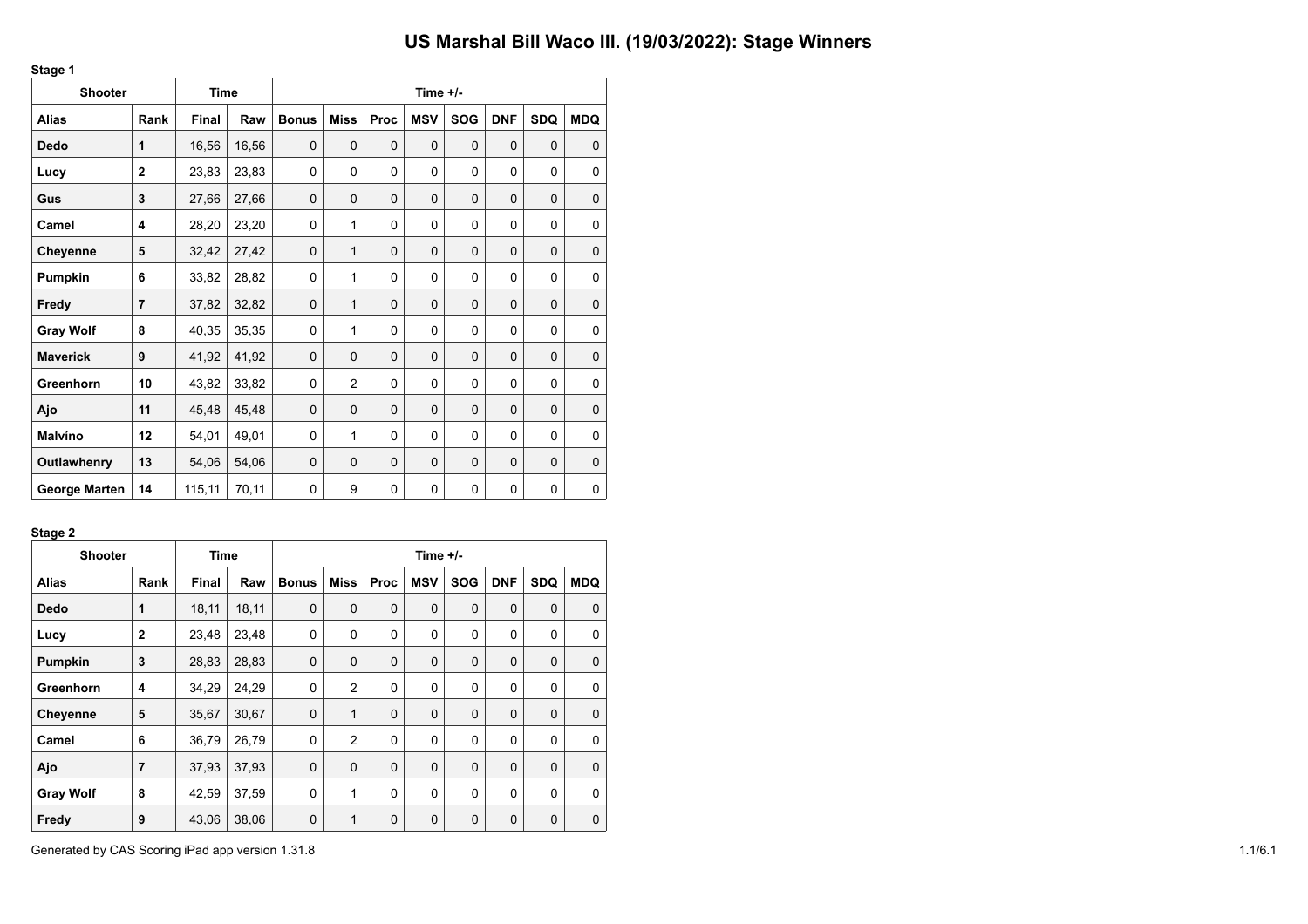| <b>Shooter</b>       |                | <b>Time</b>  |       |              |                |          | Time $+/-$  |             |            |             |             |
|----------------------|----------------|--------------|-------|--------------|----------------|----------|-------------|-------------|------------|-------------|-------------|
| <b>Alias</b>         | Rank           | <b>Final</b> | Raw   | <b>Bonus</b> | <b>Miss</b>    | Proc     | <b>MSV</b>  | <b>SOG</b>  | <b>DNF</b> | <b>SDQ</b>  | <b>MDQ</b>  |
| Dedo                 | 1              | 16,56        | 16,56 | $\mathbf 0$  | $\Omega$       | $\Omega$ | $\mathbf 0$ | $\Omega$    | $\Omega$   | $\mathbf 0$ | $\mathbf 0$ |
| Lucy                 | $\overline{2}$ | 23,83        | 23,83 | 0            | 0              | $\Omega$ | 0           | $\Omega$    | 0          | 0           | 0           |
| Gus                  | 3              | 27,66        | 27,66 | $\mathbf 0$  | 0              | 0        | $\mathbf 0$ | 0           | 0          | $\mathbf 0$ | $\mathbf 0$ |
| Camel                | 4              | 28,20        | 23,20 | 0            | 1              | 0        | 0           | $\Omega$    | 0          | $\Omega$    | $\Omega$    |
| Cheyenne             | 5              | 32,42        | 27,42 | $\mathbf 0$  | 1              | 0        | $\mathbf 0$ | 0           | 0          | $\mathbf 0$ | $\mathbf 0$ |
| Pumpkin              | 6              | 33,82        | 28,82 | 0            | 1              | 0        | 0           | $\mathbf 0$ | 0          | 0           | 0           |
| Fredy                | $\overline{7}$ | 37,82        | 32,82 | $\mathbf 0$  | 1              | 0        | $\mathbf 0$ | $\Omega$    | $\Omega$   | $\mathbf 0$ | $\mathbf 0$ |
| <b>Gray Wolf</b>     | 8              | 40,35        | 35,35 | 0            | 1              | 0        | 0           | $\mathbf 0$ | 0          | $\mathbf 0$ | 0           |
| <b>Maverick</b>      | 9              | 41,92        | 41,92 | $\mathbf 0$  | 0              | 0        | $\mathbf 0$ | $\mathbf 0$ | 0          | $\mathbf 0$ | $\mathbf 0$ |
| Greenhorn            | 10             | 43,82        | 33,82 | 0            | $\overline{2}$ | 0        | 0           | 0           | 0          | 0           | 0           |
| Ajo                  | 11             | 45,48        | 45,48 | $\mathbf 0$  | 0              | 0        | $\mathbf 0$ | $\mathbf 0$ | 0          | $\mathbf 0$ | $\mathbf 0$ |
| <b>Malvíno</b>       | 12             | 54,01        | 49,01 | 0            | 1              | $\Omega$ | 0           | $\Omega$    | 0          | 0           | $\mathbf 0$ |
| Outlawhenry          | 13             | 54,06        | 54,06 | 0            | 0              | 0        | $\mathbf 0$ | 0           | $\Omega$   | $\mathbf 0$ | $\mathbf 0$ |
| <b>George Marten</b> | 14             | 115,11       | 70,11 | $\mathbf 0$  | 9              | 0        | 0           | $\Omega$    | 0          | $\mathbf 0$ | 0           |

#### **Stage 2**

**Stage 1**

| <b>Shooter</b>   |                | Time  |       | Time +/-     |                |             |             |             |              |             |              |  |  |
|------------------|----------------|-------|-------|--------------|----------------|-------------|-------------|-------------|--------------|-------------|--------------|--|--|
| <b>Alias</b>     | Rank           | Final | Raw   | <b>Bonus</b> | Miss           | <b>Proc</b> | <b>MSV</b>  | <b>SOG</b>  | <b>DNF</b>   | <b>SDQ</b>  | <b>MDQ</b>   |  |  |
| Dedo             | 1              | 18,11 | 18,11 | $\mathbf 0$  | $\mathbf 0$    | $\mathbf 0$ | $\mathbf 0$ | $\mathbf 0$ | $\mathbf 0$  | $\mathbf 0$ | 0            |  |  |
| Lucy             | $\overline{2}$ | 23,48 | 23,48 | $\mathbf 0$  | $\Omega$       | $\Omega$    | 0           | $\Omega$    | 0            | $\mathbf 0$ | 0            |  |  |
| Pumpkin          | 3              | 28,83 | 28,83 | $\mathbf 0$  | $\mathbf 0$    | $\mathbf 0$ | $\mathbf 0$ | $\mathbf 0$ | 0            | $\mathbf 0$ | 0            |  |  |
| Greenhorn        | 4              | 34,29 | 24,29 | $\mathbf 0$  | $\overline{2}$ | 0           | 0           | 0           | 0            | $\mathbf 0$ | $\mathbf{0}$ |  |  |
| <b>Cheyenne</b>  | 5              | 35,67 | 30,67 | $\mathbf 0$  | $\mathbf{1}$   | $\Omega$    | $\mathbf 0$ | $\Omega$    | $\mathbf{0}$ | $\mathbf 0$ | $\Omega$     |  |  |
| Camel            | 6              | 36,79 | 26,79 | 0            | $\overline{2}$ | 0           | 0           | $\mathbf 0$ | 0            | $\mathbf 0$ | 0            |  |  |
| Ajo              | 7              | 37,93 | 37,93 | $\mathbf 0$  | $\Omega$       | $\mathbf 0$ | $\mathbf 0$ | $\mathbf 0$ | 0            | 0           | $\Omega$     |  |  |
| <b>Gray Wolf</b> | 8              | 42,59 | 37,59 | 0            | $\mathbf{1}$   | 0           | 0           | $\mathbf 0$ | $\mathbf 0$  | $\mathbf 0$ | 0            |  |  |
| Fredy            | 9              | 43,06 | 38,06 | 0            | 1              | 0           | $\mathbf 0$ | $\mathbf 0$ | 0            | $\mathbf 0$ | 0            |  |  |

Generated by CAS Scoring iPad app version 1.31.8 1.1/6.1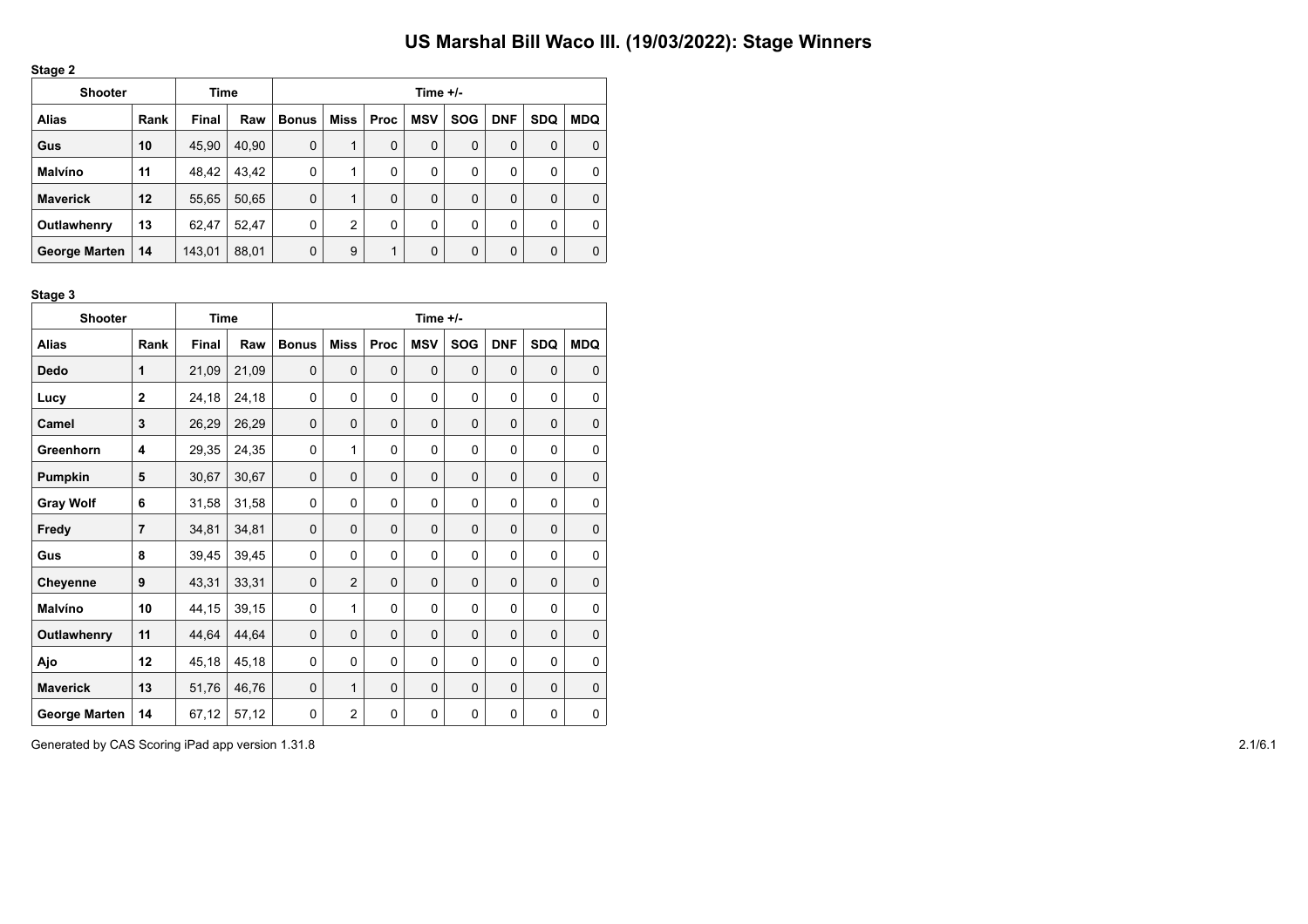| ., |  |
|----|--|
|----|--|

| <b>Shooter</b>       |      | Time   |       | Time $+/-$   |      |             |             |            |            |            |            |  |  |
|----------------------|------|--------|-------|--------------|------|-------------|-------------|------------|------------|------------|------------|--|--|
| <b>Alias</b>         | Rank | Final  | Raw   | <b>Bonus</b> | Miss | <b>Proc</b> | <b>MSV</b>  | <b>SOG</b> | <b>DNF</b> | <b>SDQ</b> | <b>MDQ</b> |  |  |
| Gus                  | 10   | 45,90  | 40,90 | 0            | 1    | 0           | 0           | $\Omega$   | 0          | 0          | 0          |  |  |
| <b>Malvíno</b>       | 11   | 48,42  | 43.42 | 0            | 1    | 0           | 0           | 0          | 0          | 0          | 0          |  |  |
| <b>Maverick</b>      | 12   | 55,65  | 50,65 | 0            | 1    | $\Omega$    | $\mathbf 0$ | 0          | 0          | 0          | 0          |  |  |
| Outlawhenry          | 13   | 62.47  | 52,47 | 0            | 2    | 0           | 0           | 0          | 0          | 0          | 0          |  |  |
| <b>George Marten</b> | 14   | 143,01 | 88,01 | 0            | 9    | 1           | 0           | 0          | 0          | 0          | 0          |  |  |

**Stage 3**

| <b>Shooter</b>       |                | Time         |       | Time +/-     |                |             |            |             |             |            |             |  |  |
|----------------------|----------------|--------------|-------|--------------|----------------|-------------|------------|-------------|-------------|------------|-------------|--|--|
| <b>Alias</b>         | Rank           | <b>Final</b> | Raw   | <b>Bonus</b> | <b>Miss</b>    | Proc        | <b>MSV</b> | <b>SOG</b>  | <b>DNF</b>  | <b>SDQ</b> | <b>MDQ</b>  |  |  |
| Dedo                 | 1              | 21,09        | 21,09 | $\mathbf 0$  | $\mathbf 0$    | $\mathbf 0$ | 0          | $\mathbf 0$ | $\mathbf 0$ | 0          | $\mathbf 0$ |  |  |
| Lucy                 | $\mathbf 2$    | 24,18        | 24,18 | 0            | 0              | 0           | $\Omega$   | $\Omega$    | 0           | $\Omega$   | $\Omega$    |  |  |
| Camel                | 3              | 26,29        | 26,29 | $\mathbf 0$  | 0              | 0           | 0          | $\Omega$    | $\mathbf 0$ | 0          | 0           |  |  |
| Greenhorn            | 4              | 29,35        | 24,35 | 0            | 1              | $\Omega$    | 0          | $\Omega$    | $\Omega$    | $\Omega$   | $\Omega$    |  |  |
| Pumpkin              | 5              | 30,67        | 30,67 | $\mathbf 0$  | 0              | 0           | 0          | $\Omega$    | $\Omega$    | 0          | 0           |  |  |
| <b>Gray Wolf</b>     | 6              | 31,58        | 31,58 | 0            | 0              | 0           | 0          | $\Omega$    | 0           | 0          | 0           |  |  |
| Fredy                | $\overline{7}$ | 34,81        | 34,81 | $\mathbf 0$  | 0              | $\mathbf 0$ | 0          | $\mathbf 0$ | $\mathbf 0$ | 0          | $\mathbf 0$ |  |  |
| Gus                  | 8              | 39,45        | 39,45 | 0            | 0              | 0           | 0          | $\mathbf 0$ | 0           | $\Omega$   | $\Omega$    |  |  |
| Cheyenne             | 9              | 43,31        | 33,31 | $\mathbf 0$  | $\overline{2}$ | $\Omega$    | 0          | $\Omega$    | $\Omega$    | 0          | $\mathbf 0$ |  |  |
| Malvíno              | 10             | 44,15        | 39,15 | 0            | 1              | $\Omega$    | $\Omega$   | $\Omega$    | $\Omega$    | $\Omega$   | $\Omega$    |  |  |
| Outlawhenry          | 11             | 44,64        | 44,64 | 0            | $\Omega$       | $\Omega$    | 0          | $\Omega$    | $\Omega$    | $\Omega$   | $\Omega$    |  |  |
| Ajo                  | 12             | 45,18        | 45,18 | 0            | 0              | 0           | 0          | $\Omega$    | $\mathbf 0$ | 0          | 0           |  |  |
| <b>Maverick</b>      | 13             | 51,76        | 46,76 | $\mathbf 0$  | 1              | 0           | 0          | $\Omega$    | $\mathbf 0$ | 0          | $\mathbf 0$ |  |  |
| <b>George Marten</b> | 14             | 67,12        | 57,12 | 0            | $\overline{2}$ | 0           | 0          | $\mathbf 0$ | 0           | 0          | 0           |  |  |

Generated by CAS Scoring iPad app version 1.31.8 2.1/6.1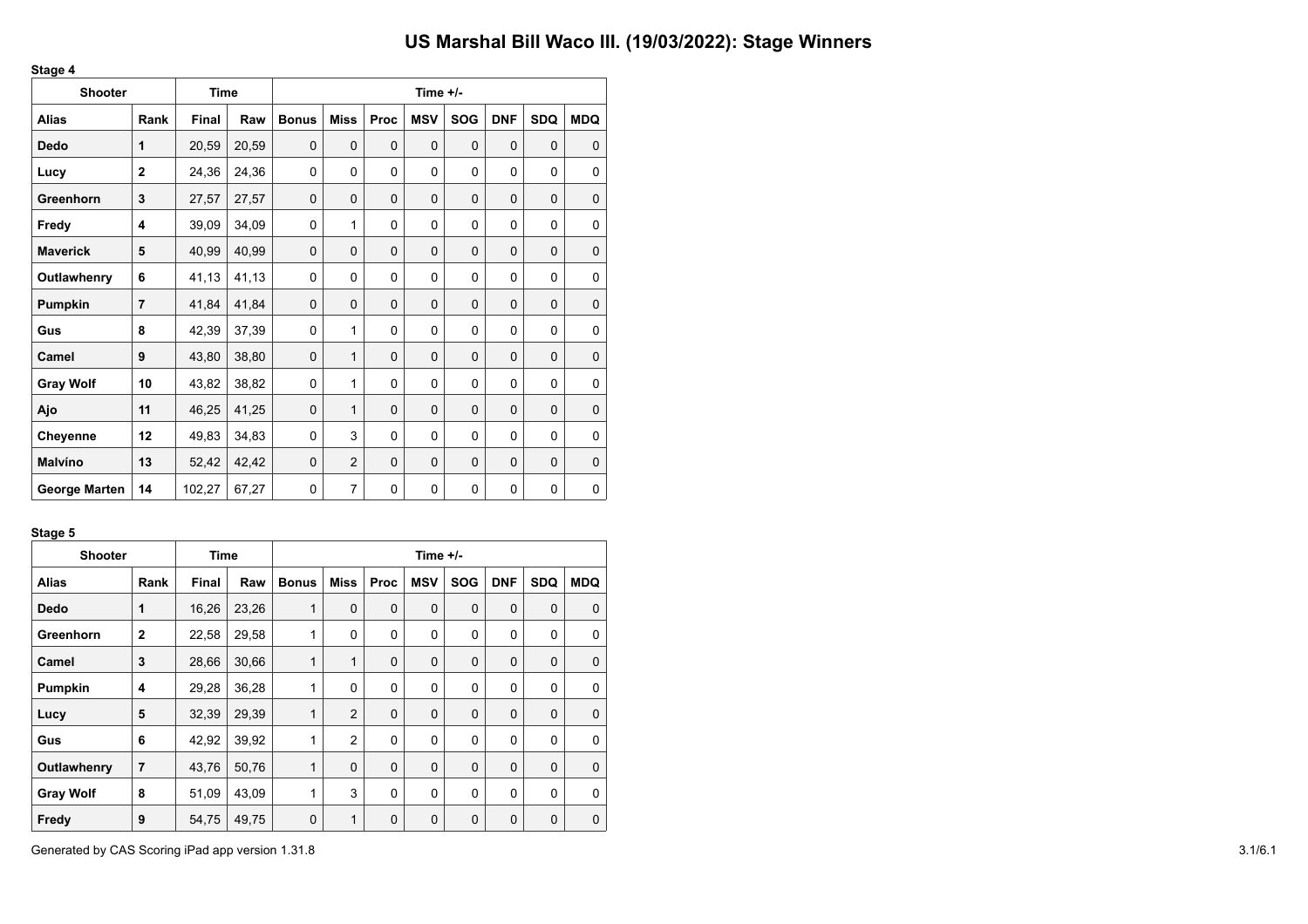| <b>Shooter</b>       |                | <b>Time</b>  |       |              |                |             | Time $+/-$  |             |            |             |             |
|----------------------|----------------|--------------|-------|--------------|----------------|-------------|-------------|-------------|------------|-------------|-------------|
| <b>Alias</b>         | Rank           | <b>Final</b> | Raw   | <b>Bonus</b> | <b>Miss</b>    | <b>Proc</b> | <b>MSV</b>  | <b>SOG</b>  | <b>DNF</b> | <b>SDQ</b>  | <b>MDQ</b>  |
| Dedo                 | 1              | 20,59        | 20,59 | $\mathbf 0$  | $\mathbf 0$    | $\Omega$    | $\mathbf 0$ | $\Omega$    | $\Omega$   | $\mathbf 0$ | $\mathbf 0$ |
| Lucy                 | $\overline{2}$ | 24,36        | 24,36 | 0            | 0              | $\Omega$    | 0           | $\mathbf 0$ | 0          | $\mathbf 0$ | 0           |
| Greenhorn            | 3              | 27,57        | 27,57 | $\mathbf 0$  | 0              | $\mathbf 0$ | $\mathbf 0$ | 0           | 0          | 0           | $\mathbf 0$ |
| Fredy                | 4              | 39,09        | 34,09 | 0            | 1              | $\Omega$    | 0           | $\Omega$    | 0          | $\mathbf 0$ | 0           |
| <b>Maverick</b>      | 5              | 40,99        | 40,99 | $\mathbf 0$  | 0              | $\mathbf 0$ | 0           | 0           | 0          | 0           | $\mathbf 0$ |
| Outlawhenry          | 6              | 41,13        | 41,13 | 0            | 0              | 0           | 0           | $\mathbf 0$ | 0          | $\mathbf 0$ | $\mathbf 0$ |
| Pumpkin              | $\overline{7}$ | 41,84        | 41,84 | $\mathbf 0$  | 0              | $\Omega$    | 0           | $\mathbf 0$ | $\Omega$   | 0           | $\mathbf 0$ |
| Gus                  | 8              | 42,39        | 37,39 | 0            | 1              | 0           | 0           | $\mathbf 0$ | 0          | $\mathbf 0$ | 0           |
| Camel                | 9              | 43,80        | 38,80 | $\mathbf 0$  | $\mathbf{1}$   | $\mathbf 0$ | 0           | $\mathbf 0$ | 0          | $\mathbf 0$ | $\mathbf 0$ |
| <b>Gray Wolf</b>     | 10             | 43,82        | 38,82 | 0            | 1              | $\Omega$    | 0           | 0           | 0          | $\mathbf 0$ | $\mathbf 0$ |
| Ajo                  | 11             | 46,25        | 41,25 | $\mathbf 0$  | 1              | $\mathbf 0$ | $\mathbf 0$ | $\mathbf 0$ | 0          | 0           | 0           |
| Cheyenne             | 12             | 49,83        | 34,83 | 0            | 3              | $\Omega$    | 0           | $\Omega$    | 0          | $\mathbf 0$ | $\mathbf 0$ |
| <b>Malvíno</b>       | 13             | 52,42        | 42,42 | $\mathbf 0$  | $\overline{2}$ | $\Omega$    | 0           | 0           | 0          | 0           | $\mathbf 0$ |
| <b>George Marten</b> | 14             | 102,27       | 67,27 | 0            | 7              | $\Omega$    | 0           | $\mathbf 0$ | 0          | 0           | 0           |

#### **Stage 5**

**Stage 4**

| <b>Shooter</b>   |                | Time  |       | Time +/-     |                |             |             |             |             |             |              |  |  |
|------------------|----------------|-------|-------|--------------|----------------|-------------|-------------|-------------|-------------|-------------|--------------|--|--|
| <b>Alias</b>     | Rank           | Final | Raw   | <b>Bonus</b> | Miss           | <b>Proc</b> | <b>MSV</b>  | <b>SOG</b>  | <b>DNF</b>  | <b>SDQ</b>  | <b>MDQ</b>   |  |  |
| <b>Dedo</b>      | 1              | 16,26 | 23,26 | 1            | $\mathbf 0$    | $\mathbf 0$ | $\mathbf 0$ | $\mathbf 0$ | $\mathbf 0$ | $\mathbf 0$ | $\Omega$     |  |  |
| Greenhorn        | $\overline{2}$ | 22,58 | 29,58 | 1            | $\Omega$       | $\Omega$    | 0           | $\Omega$    | 0           | $\mathbf 0$ | 0            |  |  |
| Camel            | 3              | 28,66 | 30,66 | 1            | 1              | $\mathbf 0$ | $\mathbf 0$ | $\mathbf 0$ | 0           | $\mathbf 0$ | 0            |  |  |
| Pumpkin          | 4              | 29,28 | 36,28 | 1            | $\Omega$       | 0           | 0           | 0           | 0           | $\mathbf 0$ | 0            |  |  |
| Lucy             | 5              | 32,39 | 29,39 | 1            | $\overline{2}$ | $\Omega$    | $\mathbf 0$ | $\Omega$    | $\Omega$    | $\mathbf 0$ | $\Omega$     |  |  |
| Gus              | 6              | 42,92 | 39,92 | 1            | $\overline{2}$ | 0           | 0           | $\mathbf 0$ | 0           | $\mathbf 0$ | 0            |  |  |
| Outlawhenry      | $\overline{7}$ | 43,76 | 50,76 | $\mathbf{1}$ | $\Omega$       | $\mathbf 0$ | $\mathbf 0$ | $\mathbf 0$ | 0           | 0           | $\Omega$     |  |  |
| <b>Gray Wolf</b> | 8              | 51,09 | 43,09 | 1            | 3              | 0           | 0           | $\mathbf 0$ | $\mathbf 0$ | $\mathbf 0$ | $\mathbf{0}$ |  |  |
| Fredy            | 9              | 54,75 | 49,75 | 0            | 1              | 0           | 0           | 0           | 0           | $\mathbf 0$ | 0            |  |  |

Generated by CAS Scoring iPad app version 1.31.8 3.1/6.1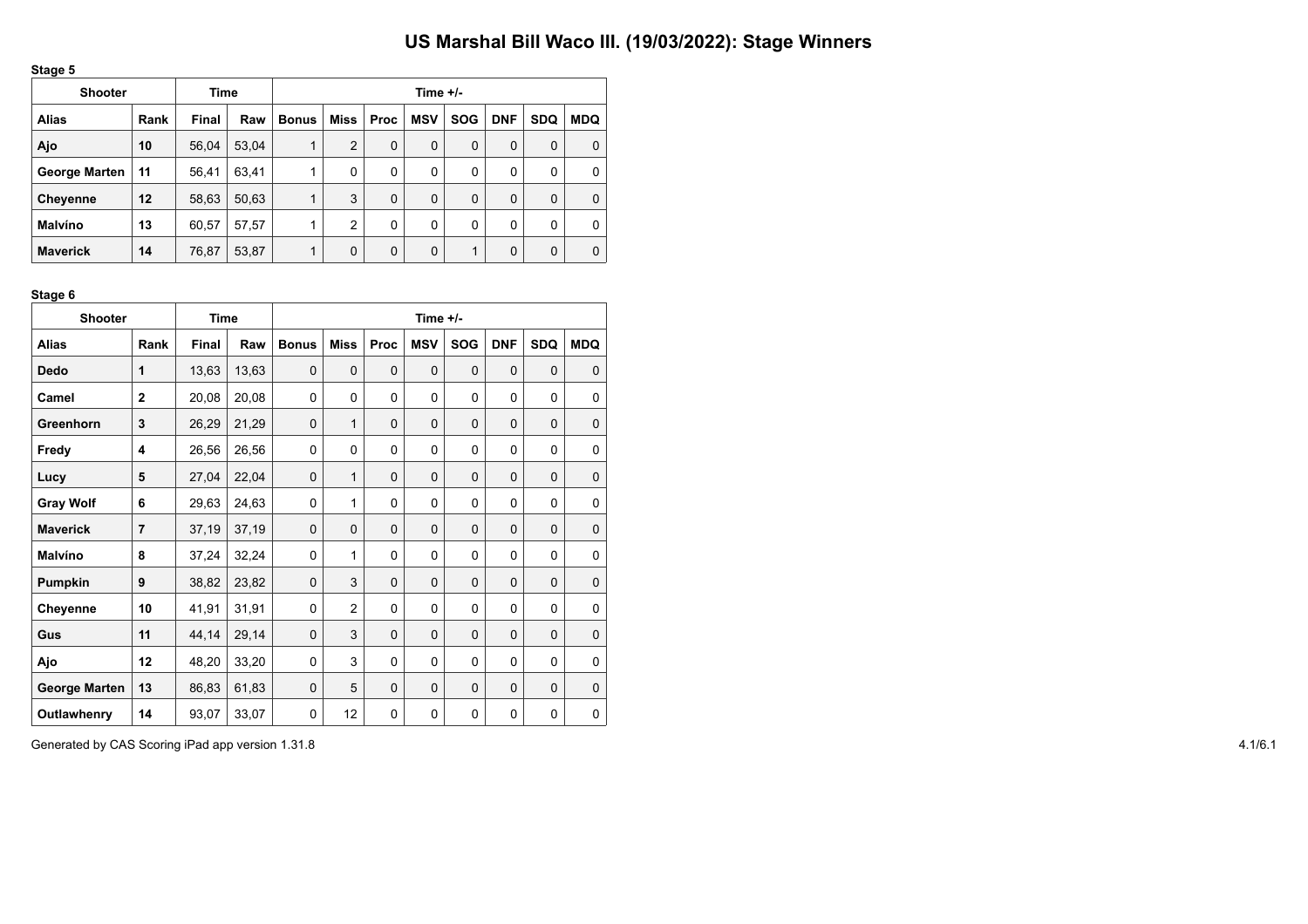|--|

| <b>Shooter</b>       | Time |       |       | Time $+/-$   |      |             |            |            |            |            |            |  |  |
|----------------------|------|-------|-------|--------------|------|-------------|------------|------------|------------|------------|------------|--|--|
| <b>Alias</b>         | Rank | Final | Raw   | <b>Bonus</b> | Miss | <b>Proc</b> | <b>MSV</b> | <b>SOG</b> | <b>DNF</b> | <b>SDQ</b> | <b>MDQ</b> |  |  |
| Ajo                  | 10   | 56,04 | 53,04 | 1            | 2    | 0           | 0          | $\Omega$   | 0          | 0          | 0          |  |  |
| <b>George Marten</b> | 11   | 56,41 | 63,41 |              | 0    | 0           | 0          | 0          | 0          | 0          | 0          |  |  |
| Cheyenne             | 12   | 58,63 | 50,63 | 4            | 3    | 0           | 0          | $\Omega$   | 0          | 0          | 0          |  |  |
| Malvíno              | 13   | 60,57 | 57,57 |              | 2    | 0           | 0          | 0          | 0          | 0          | 0          |  |  |
| <b>Maverick</b>      | 14   | 76,87 | 53,87 | 1            | 0    | 0           | 0          | и          | 0          | 0          | 0          |  |  |

#### **Stage 6**

| <b>Shooter</b>       |                | <b>Time</b> |       | Time +/-     |                |             |             |              |             |            |             |
|----------------------|----------------|-------------|-------|--------------|----------------|-------------|-------------|--------------|-------------|------------|-------------|
| <b>Alias</b>         | Rank           | Final       | Raw   | <b>Bonus</b> | <b>Miss</b>    | Proc        | <b>MSV</b>  | <b>SOG</b>   | <b>DNF</b>  | <b>SDQ</b> | <b>MDQ</b>  |
| <b>Dedo</b>          | 1              | 13,63       | 13,63 | $\mathbf 0$  | $\Omega$       | $\mathbf 0$ | $\mathbf 0$ | $\mathbf 0$  | $\mathbf 0$ | 0          | 0           |
| Camel                | $\mathbf{2}$   | 20,08       | 20,08 | 0            | 0              | $\Omega$    | 0           | 0            | 0           | 0          | 0           |
| Greenhorn            | 3              | 26,29       | 21,29 | $\mathbf 0$  | $\mathbf{1}$   | $\mathbf 0$ | $\mathbf 0$ | $\Omega$     | $\Omega$    | 0          | 0           |
| Fredy                | 4              | 26,56       | 26,56 | 0            | 0              | 0           | 0           | 0            | 0           | 0          | 0           |
| Lucy                 | 5              | 27,04       | 22,04 | $\mathbf 0$  | 1              | $\Omega$    | $\Omega$    | $\Omega$     | $\Omega$    | $\Omega$   | 0           |
| <b>Gray Wolf</b>     | 6              | 29,63       | 24,63 | 0            | 1              | 0           | 0           | 0            | 0           | 0          | 0           |
| <b>Maverick</b>      | $\overline{7}$ | 37,19       | 37,19 | $\mathbf 0$  | $\Omega$       | $\mathbf 0$ | $\mathbf 0$ | $\mathbf 0$  | 0           | 0          | $\mathbf 0$ |
| <b>Malvíno</b>       | 8              | 37,24       | 32,24 | 0            | 1              | 0           | 0           | 0            | 0           | 0          | 0           |
| <b>Pumpkin</b>       | 9              | 38,82       | 23,82 | $\mathbf 0$  | 3              | $\mathbf 0$ | $\mathbf 0$ | 0            | $\mathbf 0$ | 0          | 0           |
| Cheyenne             | 10             | 41,91       | 31,91 | 0            | $\overline{2}$ | 0           | 0           | 0            | 0           | 0          | 0           |
| Gus                  | 11             | 44,14       | 29,14 | $\mathbf 0$  | 3              | $\mathbf 0$ | $\mathbf 0$ | $\mathbf 0$  | $\mathbf 0$ | 0          | 0           |
| Ajo                  | 12             | 48,20       | 33,20 | 0            | 3              | 0           | 0           | 0            | 0           | 0          | 0           |
| <b>George Marten</b> | 13             | 86,83       | 61,83 | $\mathbf 0$  | 5              | $\mathbf 0$ | $\mathbf 0$ | $\mathbf 0$  | 0           | 0          | 0           |
| Outlawhenry          | 14             | 93,07       | 33,07 | 0            | 12             | $\Omega$    | 0           | $\mathbf{0}$ | 0           | 0          | 0           |

Generated by CAS Scoring iPad app version 1.31.8 4.1/6.1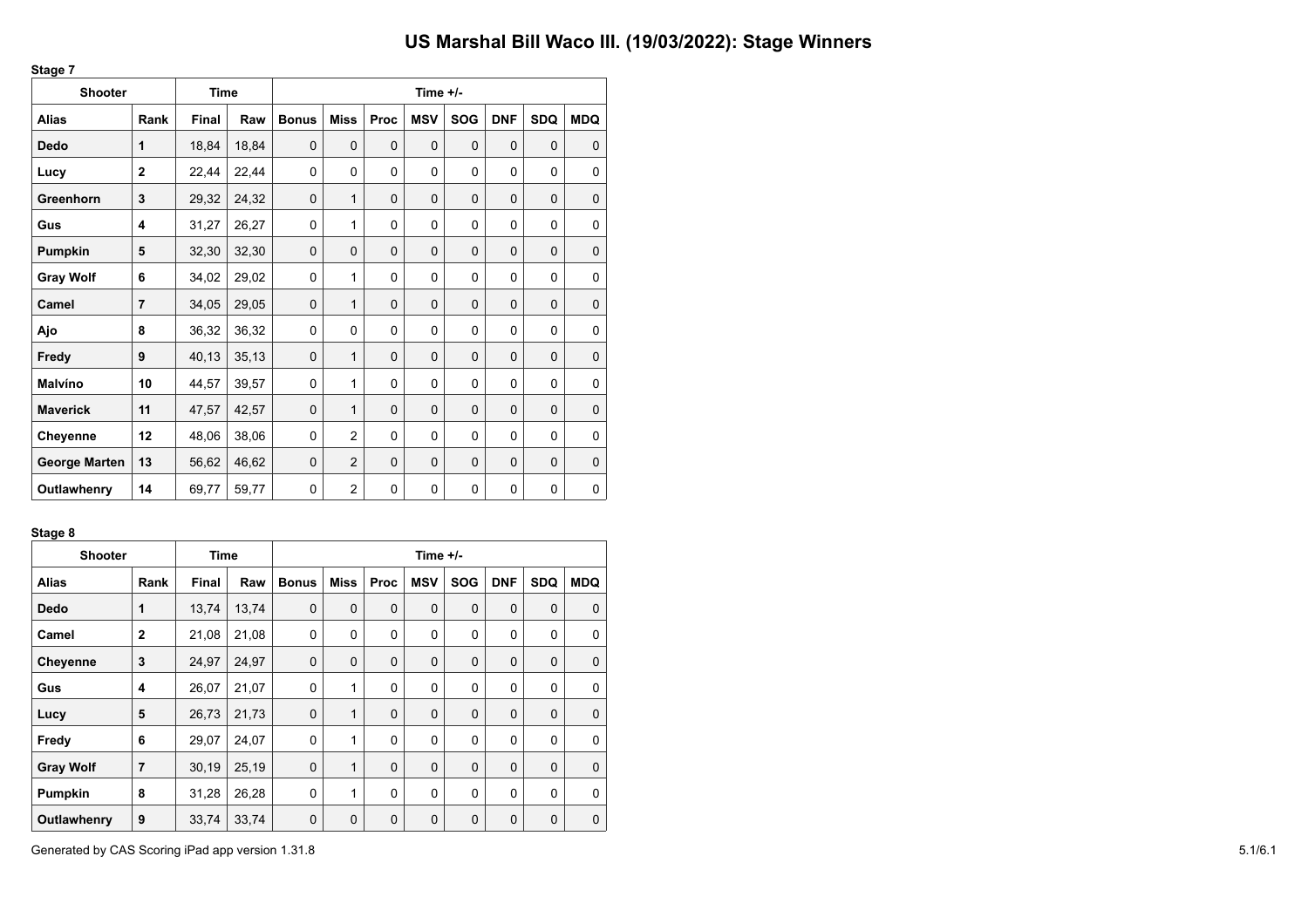| <b>Shooter</b>       |                | Time  |        |              |                |      | Time +/-    |            |            |             |             |
|----------------------|----------------|-------|--------|--------------|----------------|------|-------------|------------|------------|-------------|-------------|
| <b>Alias</b>         | Rank           | Final | Raw    | <b>Bonus</b> | <b>Miss</b>    | Proc | <b>MSV</b>  | <b>SOG</b> | <b>DNF</b> | <b>SDQ</b>  | <b>MDQ</b>  |
| <b>Dedo</b>          | 1              | 18,84 | 18,84  | $\mathbf 0$  | $\mathbf 0$    | 0    | $\mathbf 0$ | 0          | 0          | $\mathbf 0$ | $\mathbf 0$ |
| Lucy                 | $\overline{2}$ | 22,44 | 22,44  | 0            | 0              | 0    | 0           | $\Omega$   | 0          | $\mathbf 0$ | $\mathbf 0$ |
| Greenhorn            | 3              | 29,32 | 24,32  | 0            | 1              | 0    | $\mathbf 0$ | 0          | 0          | 0           | $\mathbf 0$ |
| Gus                  | 4              | 31,27 | 26,27  | 0            | 1              | 0    | 0           | $\Omega$   | 0          | $\mathbf 0$ | 0           |
| Pumpkin              | 5              | 32,30 | 32,30  | $\mathbf 0$  | $\mathbf 0$    | 0    | $\mathbf 0$ | $\Omega$   | $\Omega$   | 0           | $\pmb{0}$   |
| <b>Gray Wolf</b>     | 6              | 34,02 | 29,02  | 0            | 1              | 0    | 0           | 0          | 0          | $\mathbf 0$ | 0           |
| Camel                | 7              | 34,05 | 29,05  | $\mathbf 0$  | 1              | 0    | $\mathbf 0$ | 0          | 0          | 0           | $\pmb{0}$   |
| Ajo                  | 8              | 36,32 | 36,32  | 0            | 0              | 0    | $\mathbf 0$ | 0          | 0          | $\mathbf 0$ | 0           |
| Fredy                | 9              | 40,13 | 35, 13 | 0            | 1              | 0    | $\mathbf 0$ | 0          | 0          | $\mathbf 0$ | $\mathbf 0$ |
| Malvíno              | 10             | 44,57 | 39,57  | 0            | 1              | 0    | 0           | 0          | 0          | $\mathbf 0$ | 0           |
| <b>Maverick</b>      | 11             | 47,57 | 42,57  | $\mathbf 0$  | 1              | 0    | $\mathbf 0$ | 0          | 0          | $\mathbf 0$ | $\mathbf 0$ |
| Cheyenne             | 12             | 48,06 | 38,06  | 0            | $\overline{2}$ | 0    | 0           | 0          | 0          | 0           | $\mathbf 0$ |
| <b>George Marten</b> | 13             | 56,62 | 46,62  | $\mathbf 0$  | $\overline{2}$ | 0    | $\mathbf 0$ | $\Omega$   | $\Omega$   | 0           | $\mathbf 0$ |
| Outlawhenry          | 14             | 69,77 | 59,77  | 0            | $\overline{c}$ | 0    | 0           | 0          | 0          | $\mathbf 0$ | 0           |

#### **Stage 8**

**Stage 7**

| <b>Shooter</b>   |                | Time  |       | Time $+/-$   |              |             |            |             |             |             |             |  |  |
|------------------|----------------|-------|-------|--------------|--------------|-------------|------------|-------------|-------------|-------------|-------------|--|--|
| <b>Alias</b>     | Rank           | Final | Raw   | <b>Bonus</b> | Miss         | <b>Proc</b> | <b>MSV</b> | <b>SOG</b>  | <b>DNF</b>  | <b>SDQ</b>  | <b>MDQ</b>  |  |  |
| Dedo             | $\mathbf{1}$   | 13,74 | 13,74 | $\mathbf 0$  | $\mathbf 0$  | $\mathbf 0$ | 0          | $\mathbf 0$ | $\mathbf 0$ | 0           | $\mathbf 0$ |  |  |
| Camel            | $\mathbf{2}$   | 21,08 | 21,08 | 0            | $\Omega$     | $\Omega$    | 0          | $\Omega$    | $\mathbf 0$ | 0           | $\Omega$    |  |  |
| <b>Cheyenne</b>  | 3              | 24,97 | 24,97 | $\mathbf 0$  | $\mathbf 0$  | $\mathbf 0$ | 0          | $\mathbf 0$ | $\mathbf 0$ | 0           | $\mathbf 0$ |  |  |
| Gus              | 4              | 26,07 | 21,07 | 0            | 1            | $\Omega$    | 0          | $\Omega$    | $\mathbf 0$ | 0           | $\Omega$    |  |  |
| Lucy             | 5              | 26,73 | 21,73 | $\mathbf 0$  | $\mathbf{1}$ | $\Omega$    | 0          | $\Omega$    | $\Omega$    | $\mathbf 0$ | $\Omega$    |  |  |
| Fredy            | 6              | 29,07 | 24,07 | 0            | $\mathbf{1}$ | 0           | 0          | $\mathbf 0$ | 0           | 0           | $\mathbf 0$ |  |  |
| <b>Gray Wolf</b> | $\overline{7}$ | 30,19 | 25,19 | $\mathbf 0$  | $\mathbf{1}$ | $\Omega$    | 0          | $\Omega$    | $\mathbf 0$ | $\mathbf 0$ | $\Omega$    |  |  |
| Pumpkin          | 8              | 31,28 | 26,28 | $\mathbf 0$  | $\mathbf{1}$ | $\Omega$    | 0          | $\mathbf 0$ | $\mathbf 0$ | 0           | $\mathbf 0$ |  |  |
| Outlawhenry      | 9              | 33,74 | 33,74 | 0            | $\mathbf 0$  | $\mathbf 0$ | 0          | $\mathbf 0$ | $\mathbf 0$ | 0           | 0           |  |  |

Generated by CAS Scoring iPad app version 1.31.8 5.1/6.1